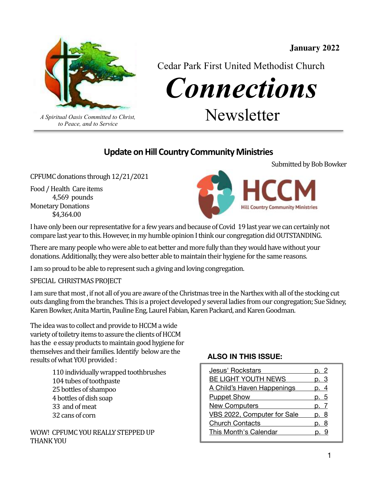

Cedar Park First United Methodist Church

*Connections* 

*A Spiritual Oasis Committed to Christ,* Newsletter

#### **Update on Hill Country Community Ministries**

CPFUMC donations through 12/21/2021 

*to Peace, and to Service*

Food / Health Care items 4,569 pounds **Monetary Donations**  \$4,364.00 



I have only been our representative for a few years and because of Covid 19 last year we can certainly not compare last year to this. However, in my humble opinion I think our congregation did OUTSTANDING.

There are many people who were able to eat better and more fully than they would have without your donations. Additionally, they were also better able to maintain their hygiene for the same reasons.

I am so proud to be able to represent such a giving and loving congregation.

SPECIAL CHRISTMAS PROJECT

I am sure that most, if not all of you are aware of the Christmas tree in the Narthex with all of the stocking cut outs dangling from the branches. This is a project developed y several ladies from our congregation; Sue Sidney, Karen Bowker, Anita Martin, Pauline Eng, Laurel Fabian, Karen Packard, and Karen Goodman.

The idea was to collect and provide to HCCM a wide variety of toiletry items to assure the clients of HCCM has the e essay products to maintain good hygiene for themselves and their families. Identify below are the results of what YOU provided :

> 110 individually wrapped toothbrushes 104 tubes of toothpaste 25 bottles of shampoo 4 bottles of dish soap 33 and of meat 32 cans of corn

WOW! CPFUMC YOU REALLY STEPPED UP THANK YOU

#### **ALSO IN THIS ISSUE:**

| Jesus' Rockstars            |      |
|-----------------------------|------|
| BE LIGHT YOUTH NEWS         | p. 3 |
| A Child's Haven Happenings  | p. 4 |
| <b>Puppet Show</b>          | p. 5 |
| <b>New Computers</b>        |      |
| VBS 2022, Computer for Sale | p. 8 |
| <b>Church Contacts</b>      | p. 8 |
| This Month's Calendar       |      |

Submitted by Bob Bowker

**January 2022**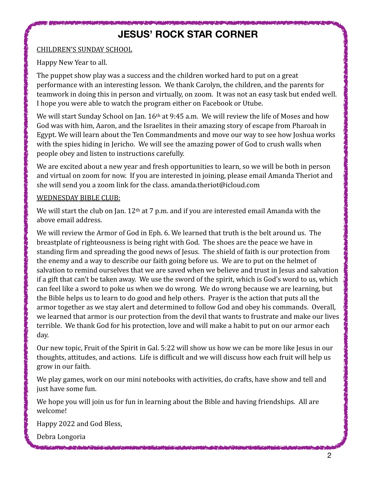### <span id="page-1-0"></span>**JESUS' ROCK STAR CORNER**

#### CHILDREN'S SUNDAY SCHOOL

Happy New Year to all.

The puppet show play was a success and the children worked hard to put on a great performance with an interesting lesson. We thank Carolyn, the children, and the parents for teamwork in doing this in person and virtually, on zoom. It was not an easy task but ended well. I hope you were able to watch the program either on Facebook or Utube.

We will start Sunday School on Jan.  $16<sup>th</sup>$  at 9:45 a.m. We will review the life of Moses and how God was with him, Aaron, and the Israelites in their amazing story of escape from Pharoah in Egypt. We will learn about the Ten Commandments and move our way to see how Joshua works with the spies hiding in Jericho. We will see the amazing power of God to crush walls when people obey and listen to instructions carefully.

We are excited about a new year and fresh opportunities to learn, so we will be both in person and virtual on zoom for now. If you are interested in joining, please email Amanda Theriot and she will send you a zoom link for the class. amanda.theriot@icloud.com

#### WEDNESDAY BIBLE CLUB:

We will start the club on Jan.  $12<sup>th</sup>$  at 7 p.m. and if you are interested email Amanda with the above email address.

We will review the Armor of God in Eph. 6. We learned that truth is the belt around us. The breastplate of righteousness is being right with God. The shoes are the peace we have in standing firm and spreading the good news of Jesus. The shield of faith is our protection from the enemy and a way to describe our faith going before us. We are to put on the helmet of salvation to remind ourselves that we are saved when we believe and trust in Jesus and salvation if a gift that can't be taken away. We use the sword of the spirit, which is God's word to us, which can feel like a sword to poke us when we do wrong. We do wrong because we are learning, but the Bible helps us to learn to do good and help others. Prayer is the action that puts all the armor together as we stay alert and determined to follow God and obey his commands. Overall, we learned that armor is our protection from the devil that wants to frustrate and make our lives terrible. We thank God for his protection, love and will make a habit to put on our armor each day. 

Our new topic, Fruit of the Spirit in Gal. 5:22 will show us how we can be more like Jesus in our thoughts, attitudes, and actions. Life is difficult and we will discuss how each fruit will help us grow in our faith.

We play games, work on our mini notebooks with activities, do crafts, have show and tell and just have some fun.

We hope you will join us for fun in learning about the Bible and having friendships. All are welcome!

Happy 2022 and God Bless,

Debra Longoria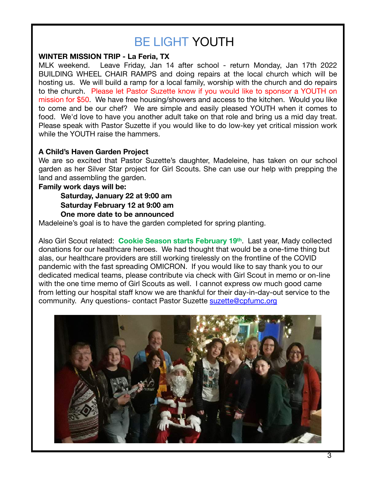# <span id="page-2-0"></span>BE LIGHT YOUTH

#### **WINTER MISSION TRIP - La Feria, TX**

MLK weekend. Leave Friday, Jan 14 after school - return Monday, Jan 17th 2022 BUILDING WHEEL CHAIR RAMPS and doing repairs at the local church which will be hosting us. We will build a ramp for a local family, worship with the church and do repairs to the church. Please let Pastor Suzette know if you would like to sponsor a YOUTH on mission for \$50. We have free housing/showers and access to the kitchen. Would you like to come and be our chef? We are simple and easily pleased YOUTH when it comes to food. We'd love to have you another adult take on that role and bring us a mid day treat. Please speak with Pastor Suzette if you would like to do low-key yet critical mission work while the YOUTH raise the hammers.

#### **A Child's Haven Garden Project**

We are so excited that Pastor Suzette's daughter, Madeleine, has taken on our school garden as her Silver Star project for Girl Scouts. She can use our help with prepping the land and assembling the garden.

#### **Family work days will be:**

**Saturday, January 22 at 9:00 am Saturday February 12 at 9:00 am One more date to be announced** 

Madeleine's goal is to have the garden completed for spring planting.

Also Girl Scout related: **Cookie Season starts February 19th**. Last year, Mady collected donations for our healthcare heroes. We had thought that would be a one-time thing but alas, our healthcare providers are still working tirelessly on the frontline of the COVID pandemic with the fast spreading OMICRON. If you would like to say thank you to our dedicated medical teams, please contribute via check with Girl Scout in memo or on-line with the one time memo of Girl Scouts as well. I cannot express ow much good came from letting our hospital staff know we are thankful for their day-in-day-out service to the community. Any questions- contact Pastor Suzette [suzette@cpfumc.org](mailto:suzette@cpfumc.org)

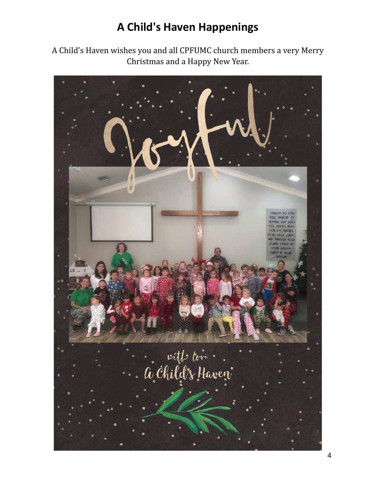# <span id="page-3-0"></span>**A Child's Haven Happenings**

A Child's Haven wishes you and all CPFUMC church members a very Merry Christmas and a Happy New Year.

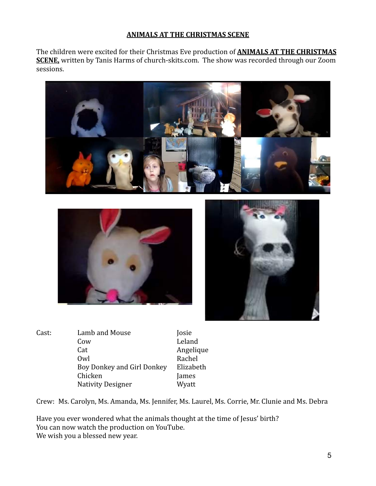#### <span id="page-4-0"></span>**ANIMALS AT THE CHRISTMAS SCENE**

The children were excited for their Christmas Eve production of **ANIMALS AT THE CHRISTMAS SCENE**, written by Tanis Harms of church-skits.com. The show was recorded through our Zoom sessions. 







Cast: Lamb and Mouse **Josie** Cow Leland Cat Angelique Owl Rachel Boy Donkey and Girl Donkey Elizabeth Chicken James Nativity Designer **Wyatt** 

Crew: Ms. Carolyn, Ms. Amanda, Ms. Jennifer, Ms. Laurel, Ms. Corrie, Mr. Clunie and Ms. Debra

Have you ever wondered what the animals thought at the time of Jesus' birth? You can now watch the production on YouTube. We wish you a blessed new year.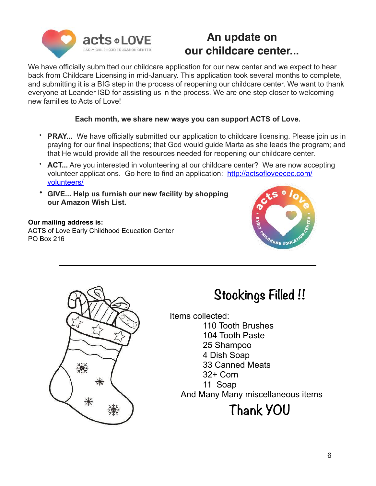

## **An update on our childcare center...**

We have officially submitted our childcare application for our new center and we expect to hear back from Childcare Licensing in mid-January. This application took several months to complete, and submitting it is a BIG step in the process of reopening our childcare center. We want to thank everyone at Leander ISD for assisting us in the process. We are one step closer to welcoming new families to Acts of Love!

#### **Each month, we share new ways you can support ACTS of Love.**

- **PRAY...** We have officially submitted our application to childcare licensing. Please join us in praying for our final inspections; that God would guide Marta as she leads the program; and that He would provide all the resources needed for reopening our childcare center.
- **ACT...** Are you interested in volunteering at our childcare center? We are now accepting volunteer applications. Go here to find an application: [http://actsofloveecec.com/](http://actsofloveecec.com/volunteers/) [volunteers/](http://actsofloveecec.com/volunteers/)
- **GIVE... Help us furnish our new facility by shopping our [Amazon Wish List.](https://actsofloveecec.us17.list-manage.com/track/click?u=5d489b77830d1cc98528358af&id=697d7ff74a&e=cab3efa7bf)**

#### **Our mailing address is:**

ACTS of Love Early Childhood Education Center PO Box 216





# **Stockings Filled !!**

Items collected:

110 Tooth Brushes 104 Tooth Paste 25 Shampoo 4 Dish Soap 33 Canned Meats 32+ Corn 11 Soap And Many Many miscellaneous items

# **Thank YOU**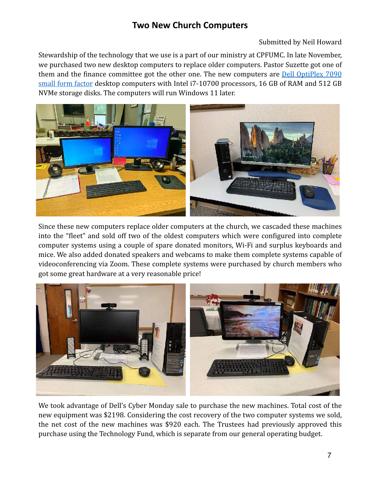#### <span id="page-6-0"></span>**Two New Church Computers**

Submitted by Neil Howard

Stewardship of the technology that we use is a part of our ministry at CPFUMC. In late November, we purchased two new desktop computers to replace older computers. Pastor Suzette got one of them and the finance committee got the other one. The new computers are **Dell OptiPlex 7090** small form factor desktop computers with Intel i7-10700 processors, 16 GB of RAM and 512 GB NVMe storage disks. The computers will run Windows 11 later.



Since these new computers replace older computers at the church, we cascaded these machines into the "fleet" and sold off two of the oldest computers which were configured into complete computer systems using a couple of spare donated monitors, Wi-Fi and surplus keyboards and mice. We also added donated speakers and webcams to make them complete systems capable of videoconferencing via Zoom. These complete systems were purchased by church members who got some great hardware at a very reasonable price!



We took advantage of Dell's Cyber Monday sale to purchase the new machines. Total cost of the new equipment was \$2198. Considering the cost recovery of the two computer systems we sold, the net cost of the new machines was \$920 each. The Trustees had previously approved this purchase using the Technology Fund, which is separate from our general operating budget.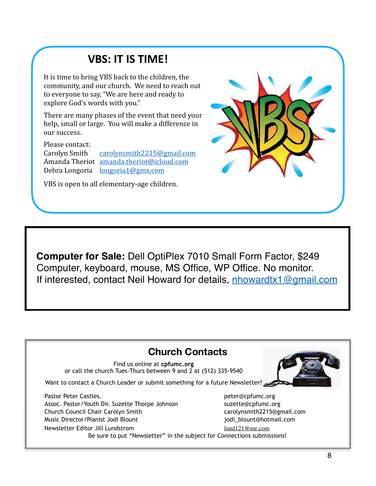# <span id="page-7-0"></span>**VBS: IT IS TIME!**

It is time to bring VBS back to the children, the community, and our church. We need to reach out to everyone to say, "We are here and ready to explore God's words with you."

There are many phases of the event that need your help, small or large. You will make a difference in our success.

Please contact:

Carolyn Smith [carolynsmith2215@gmail.com](mailto:carolynsmith2215@gmail.com) Amanda Theriot [amanda.theriot@icloud.com](mailto:amanda.theriot@icloud.com) Debra Longoria <u>[longoria1@gmx.com](mailto:longoria1@gmx.com)</u>

VBS is open to all elementary-age children.

**Computer for Sale:** Dell OptiPlex 7010 Small Form Factor, \$249 Computer, keyboard, mouse, MS Office, WP Office. No monitor. If interested, contact Neil Howard for details, [nhowardtx1@gmail.com](mailto:nhowardtx1@gmail.com)